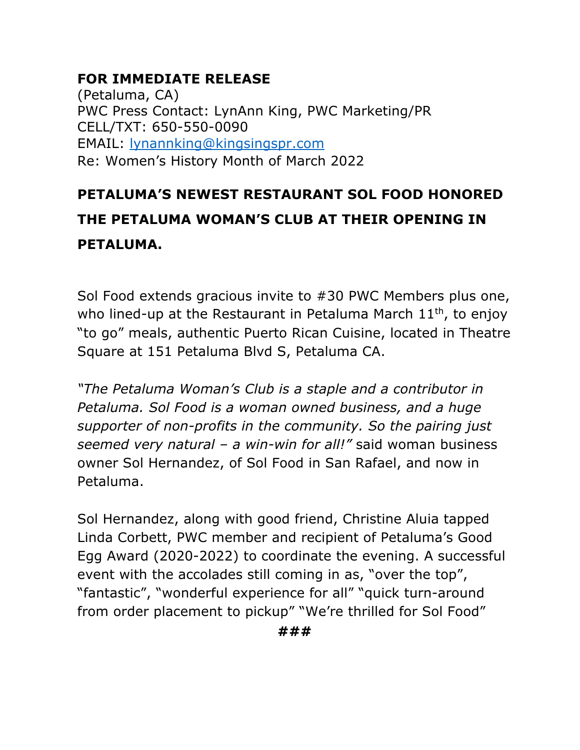## **FOR IMMEDIATE RELEASE**

(Petaluma, CA) PWC Press Contact: LynAnn King, PWC Marketing/PR CELL/TXT: 650-550-0090 EMAIL: lynannking@kingsingspr.com Re: Women's History Month of March 2022

# **PETALUMA'S NEWEST RESTAURANT SOL FOOD HONORED THE PETALUMA WOMAN'S CLUB AT THEIR OPENING IN PETALUMA.**

Sol Food extends gracious invite to #30 PWC Members plus one, who lined-up at the Restaurant in Petaluma March  $11<sup>th</sup>$ , to enjoy "to go" meals, authentic Puerto Rican Cuisine, located in Theatre Square at 151 Petaluma Blvd S, Petaluma CA.

*"The Petaluma Woman's Club is a staple and a contributor in Petaluma. Sol Food is a woman owned business, and a huge supporter of non-profits in the community. So the pairing just seemed very natural – a win-win for all!"* said woman business owner Sol Hernandez, of Sol Food in San Rafael, and now in Petaluma.

Sol Hernandez, along with good friend, Christine Aluia tapped Linda Corbett, PWC member and recipient of Petaluma's Good Egg Award (2020-2022) to coordinate the evening. A successful event with the accolades still coming in as, "over the top", "fantastic", "wonderful experience for all" "quick turn-around from order placement to pickup" "We're thrilled for Sol Food"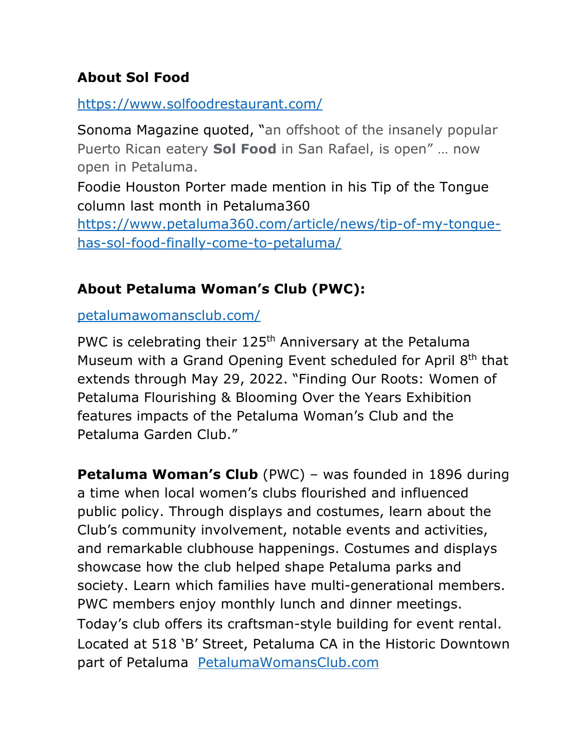## **About Sol Food**

### https://www.solfoodrestaurant.com/

Sonoma Magazine quoted, "an offshoot of the insanely popular Puerto Rican eatery **Sol Food** in San Rafael, is open" … now open in Petaluma.

Foodie Houston Porter made mention in his Tip of the Tongue column last month in Petaluma360

https://www.petaluma360.com/article/news/tip-of-my-tonguehas-sol-food-finally-come-to-petaluma/

## **About Petaluma Woman's Club (PWC):**

#### petalumawomansclub.com/

PWC is celebrating their 125<sup>th</sup> Anniversary at the Petaluma Museum with a Grand Opening Event scheduled for April 8<sup>th</sup> that extends through May 29, 2022. "Finding Our Roots: Women of Petaluma Flourishing & Blooming Over the Years Exhibition features impacts of the Petaluma Woman's Club and the Petaluma Garden Club."

**Petaluma Woman's Club** (PWC) – was founded in 1896 during a time when local women's clubs flourished and influenced public policy. Through displays and costumes, learn about the Club's community involvement, notable events and activities, and remarkable clubhouse happenings. Costumes and displays showcase how the club helped shape Petaluma parks and society. Learn which families have multi-generational members. PWC members enjoy monthly lunch and dinner meetings. Today's club offers its craftsman-style building for event rental. Located at 518 'B' Street, Petaluma CA in the Historic Downtown part of Petaluma PetalumaWomansClub.com